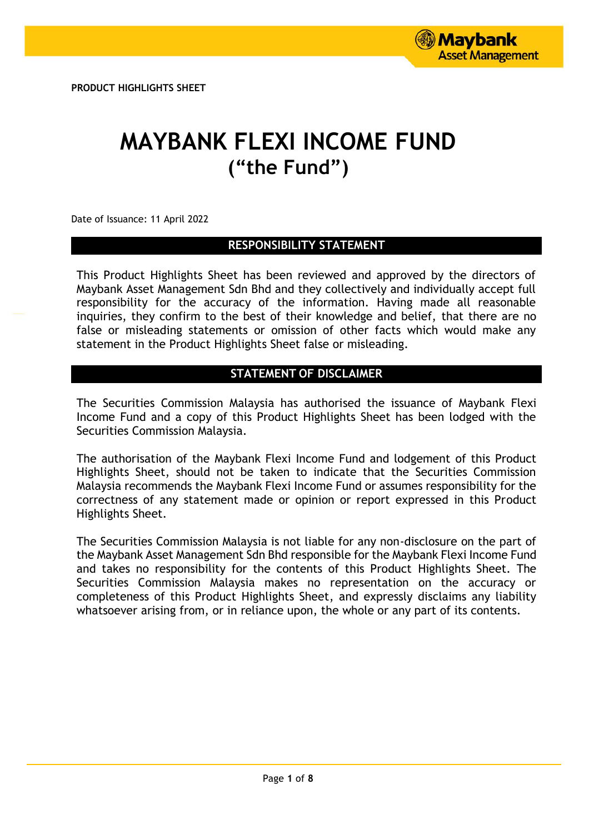**PRODUCT HIGHLIGHTS SHEET**

# **MAYBANK FLEXI INCOME FUND ("the Fund")**

Date of Issuance: 11 April 2022

# **RESPONSIBILITY STATEMENT**

This Product Highlights Sheet has been reviewed and approved by the directors of Maybank Asset Management Sdn Bhd and they collectively and individually accept full responsibility for the accuracy of the information. Having made all reasonable inquiries, they confirm to the best of their knowledge and belief, that there are no false or misleading statements or omission of other facts which would make any statement in the Product Highlights Sheet false or misleading.

# **STATEMENT OF DISCLAIMER**

The Securities Commission Malaysia has authorised the issuance of Maybank Flexi Income Fund and a copy of this Product Highlights Sheet has been lodged with the Securities Commission Malaysia.

The authorisation of the Maybank Flexi Income Fund and lodgement of this Product Highlights Sheet, should not be taken to indicate that the Securities Commission Malaysia recommends the Maybank Flexi Income Fund or assumes responsibility for the correctness of any statement made or opinion or report expressed in this Product Highlights Sheet.

The Securities Commission Malaysia is not liable for any non-disclosure on the part of the Maybank Asset Management Sdn Bhd responsible for the Maybank Flexi Income Fund and takes no responsibility for the contents of this Product Highlights Sheet. The Securities Commission Malaysia makes no representation on the accuracy or completeness of this Product Highlights Sheet, and expressly disclaims any liability whatsoever arising from, or in reliance upon, the whole or any part of its contents.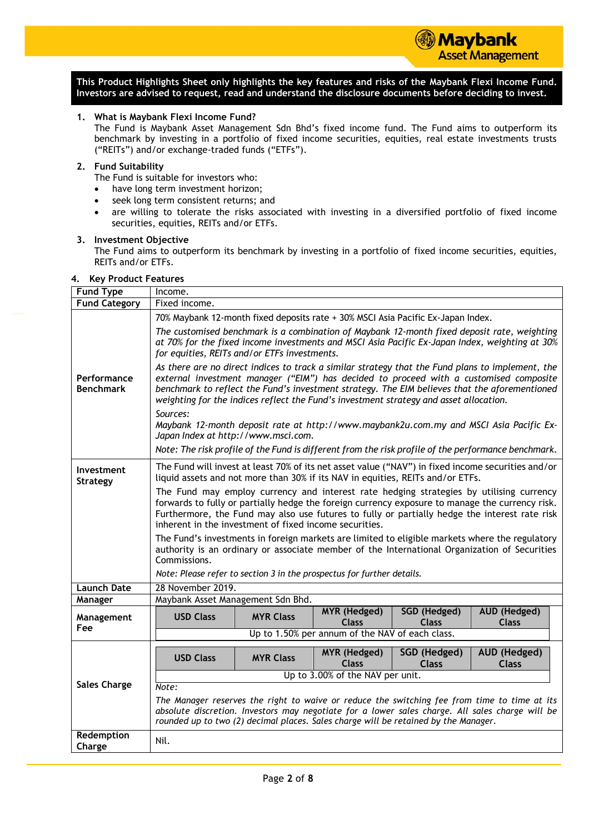

**Maybank** 

**Asset Management** 

# **1. What is Maybank Flexi Income Fund?**

The Fund is Maybank Asset Management Sdn Bhd's fixed income fund. The Fund aims to outperform its benchmark by investing in a portfolio of fixed income securities, equities, real estate investments trusts ("REITs") and/or exchange-traded funds ("ETFs").

#### **2. Fund Suitability**

The Fund is suitable for investors who:

- have long term investment horizon;
- seek long term consistent returns; and
- are willing to tolerate the risks associated with investing in a diversified portfolio of fixed income securities, equities, REITs and/or ETFs.

#### **3. Investment Objective**

The Fund aims to outperform its benchmark by investing in a portfolio of fixed income securities, equities, REITs and/or ETFs.

# **4. Key Product Features**

| <b>Fund Type</b>                | Income.                                                                                                                                                                                                                                                                                                                                                                               |  |  |  |  |
|---------------------------------|---------------------------------------------------------------------------------------------------------------------------------------------------------------------------------------------------------------------------------------------------------------------------------------------------------------------------------------------------------------------------------------|--|--|--|--|
| <b>Fund Category</b>            | Fixed income.                                                                                                                                                                                                                                                                                                                                                                         |  |  |  |  |
|                                 | 70% Maybank 12-month fixed deposits rate + 30% MSCI Asia Pacific Ex-Japan Index.                                                                                                                                                                                                                                                                                                      |  |  |  |  |
|                                 | The customised benchmark is a combination of Maybank 12-month fixed deposit rate, weighting<br>at 70% for the fixed income investments and MSCI Asia Pacific Ex-Japan Index, weighting at 30%<br>for equities, REITs and/or ETFs investments.                                                                                                                                         |  |  |  |  |
| Performance<br><b>Benchmark</b> | As there are no direct indices to track a similar strategy that the Fund plans to implement, the<br>external investment manager ("EIM") has decided to proceed with a customised composite<br>benchmark to reflect the Fund's investment strategy. The EIM believes that the aforementioned<br>weighting for the indices reflect the Fund's investment strategy and asset allocation. |  |  |  |  |
|                                 | Sources:<br>Maybank 12-month deposit rate at http://www.maybank2u.com.my and MSCI Asia Pacific Ex-<br>Japan Index at http://www.msci.com.                                                                                                                                                                                                                                             |  |  |  |  |
|                                 | Note: The risk profile of the Fund is different from the risk profile of the performance benchmark.                                                                                                                                                                                                                                                                                   |  |  |  |  |
| Investment<br><b>Strategy</b>   | The Fund will invest at least 70% of its net asset value ("NAV") in fixed income securities and/or<br>liquid assets and not more than 30% if its NAV in equities, REITs and/or ETFs.                                                                                                                                                                                                  |  |  |  |  |
|                                 | The Fund may employ currency and interest rate hedging strategies by utilising currency<br>forwards to fully or partially hedge the foreign currency exposure to manage the currency risk.<br>Furthermore, the Fund may also use futures to fully or partially hedge the interest rate risk<br>inherent in the investment of fixed income securities.                                 |  |  |  |  |
|                                 | The Fund's investments in foreign markets are limited to eligible markets where the regulatory<br>authority is an ordinary or associate member of the International Organization of Securities<br>Commissions.                                                                                                                                                                        |  |  |  |  |
|                                 | Note: Please refer to section 3 in the prospectus for further details.                                                                                                                                                                                                                                                                                                                |  |  |  |  |
| <b>Launch Date</b>              | 28 November 2019.                                                                                                                                                                                                                                                                                                                                                                     |  |  |  |  |
| Manager                         | Maybank Asset Management Sdn Bhd.                                                                                                                                                                                                                                                                                                                                                     |  |  |  |  |
| Management<br>Fee               | <b>MYR</b> (Hedged)<br>SGD (Hedged)<br>AUD (Hedged)<br><b>USD Class</b><br><b>MYR Class</b><br><b>Class</b><br><b>Class</b><br><b>Class</b>                                                                                                                                                                                                                                           |  |  |  |  |
|                                 | Up to 1.50% per annum of the NAV of each class.                                                                                                                                                                                                                                                                                                                                       |  |  |  |  |
|                                 | <b>AUD (Hedged)</b><br>SGD (Hedged)<br><b>MYR</b> (Hedged)<br><b>USD Class</b><br><b>MYR Class</b><br><b>Class</b><br><b>Class</b><br><b>Class</b>                                                                                                                                                                                                                                    |  |  |  |  |
|                                 | Up to 3.00% of the NAV per unit.                                                                                                                                                                                                                                                                                                                                                      |  |  |  |  |
| <b>Sales Charge</b>             | Note:                                                                                                                                                                                                                                                                                                                                                                                 |  |  |  |  |
|                                 | The Manager reserves the right to waive or reduce the switching fee from time to time at its<br>absolute discretion. Investors may negotiate for a lower sales charge. All sales charge will be<br>rounded up to two (2) decimal places. Sales charge will be retained by the Manager.                                                                                                |  |  |  |  |
| Redemption                      | Nil.                                                                                                                                                                                                                                                                                                                                                                                  |  |  |  |  |
| Charge                          |                                                                                                                                                                                                                                                                                                                                                                                       |  |  |  |  |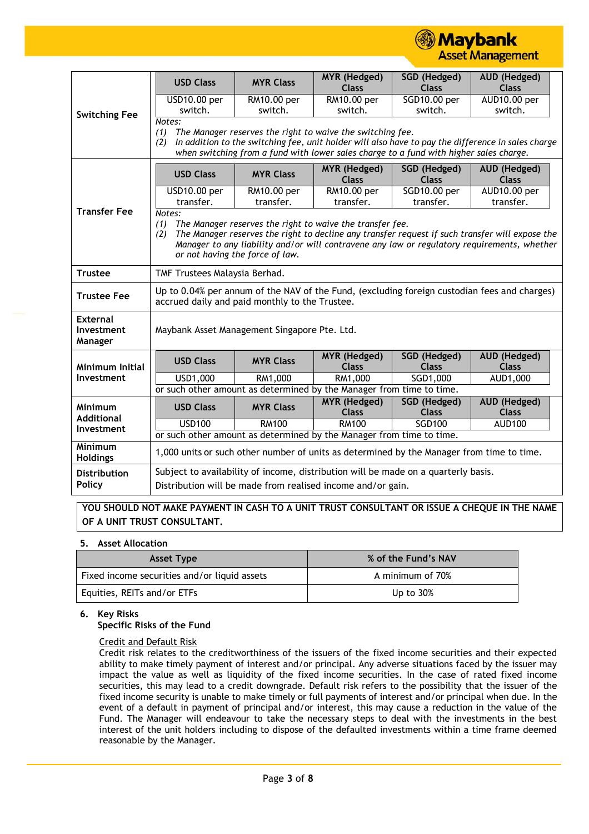**③ Maybank Asset Management** 

|                                   | <b>USD Class</b>                                                                                                                                                                                                                                                                                                       | <b>MYR Class</b>                                                                       | <b>MYR</b> (Hedged)<br><b>Class</b> | <b>SGD</b> (Hedged)<br><b>Class</b> | AUD (Hedged)<br><b>Class</b>                                                                       |
|-----------------------------------|------------------------------------------------------------------------------------------------------------------------------------------------------------------------------------------------------------------------------------------------------------------------------------------------------------------------|----------------------------------------------------------------------------------------|-------------------------------------|-------------------------------------|----------------------------------------------------------------------------------------------------|
|                                   | USD10.00 per                                                                                                                                                                                                                                                                                                           | RM10.00 per                                                                            | RM10.00 per                         | SGD10.00 per                        | AUD10.00 per                                                                                       |
|                                   | switch.                                                                                                                                                                                                                                                                                                                | switch.                                                                                | switch.                             | switch.                             | switch.                                                                                            |
| <b>Switching Fee</b>              | Notes:                                                                                                                                                                                                                                                                                                                 |                                                                                        |                                     |                                     |                                                                                                    |
|                                   | (1)                                                                                                                                                                                                                                                                                                                    | The Manager reserves the right to waive the switching fee.                             |                                     |                                     |                                                                                                    |
|                                   | (2)                                                                                                                                                                                                                                                                                                                    |                                                                                        |                                     |                                     | In addition to the switching fee, unit holder will also have to pay the difference in sales charge |
|                                   |                                                                                                                                                                                                                                                                                                                        | when switching from a fund with lower sales charge to a fund with higher sales charge. |                                     |                                     |                                                                                                    |
|                                   | <b>USD Class</b>                                                                                                                                                                                                                                                                                                       | <b>MYR Class</b>                                                                       | MYR (Hedged)<br><b>Class</b>        | <b>SGD</b> (Hedged)<br><b>Class</b> | AUD (Hedged)<br><b>Class</b>                                                                       |
|                                   | <b>USD10.00 per</b>                                                                                                                                                                                                                                                                                                    | RM10.00 per                                                                            | RM10.00 per                         | SGD10.00 per                        | AUD10.00 per                                                                                       |
|                                   | transfer.                                                                                                                                                                                                                                                                                                              | transfer.                                                                              | transfer.                           | transfer.                           | transfer.                                                                                          |
| <b>Transfer Fee</b>               | Notes:<br>The Manager reserves the right to waive the transfer fee.<br>(1)<br>The Manager reserves the right to decline any transfer request if such transfer will expose the<br>(2)<br>Manager to any liability and/or will contravene any law or regulatory requirements, whether<br>or not having the force of law. |                                                                                        |                                     |                                     |                                                                                                    |
|                                   |                                                                                                                                                                                                                                                                                                                        |                                                                                        |                                     |                                     |                                                                                                    |
| <b>Trustee</b>                    | TMF Trustees Malaysia Berhad.                                                                                                                                                                                                                                                                                          |                                                                                        |                                     |                                     |                                                                                                    |
| <b>Trustee Fee</b>                | Up to 0.04% per annum of the NAV of the Fund, (excluding foreign custodian fees and charges)<br>accrued daily and paid monthly to the Trustee.                                                                                                                                                                         |                                                                                        |                                     |                                     |                                                                                                    |
| External<br>Investment<br>Manager | Maybank Asset Management Singapore Pte. Ltd.                                                                                                                                                                                                                                                                           |                                                                                        |                                     |                                     |                                                                                                    |
| Minimum Initial                   | <b>USD Class</b>                                                                                                                                                                                                                                                                                                       | <b>MYR Class</b>                                                                       | <b>MYR</b> (Hedged)<br><b>Class</b> | SGD (Hedged)<br><b>Class</b>        | AUD (Hedged)<br><b>Class</b>                                                                       |
| Investment                        | USD1,000                                                                                                                                                                                                                                                                                                               |                                                                                        | RM1,000                             | $\overline{SGD1}$ ,000              | AUD1,000                                                                                           |
|                                   | RM1,000<br>or such other amount as determined by the Manager from time to time.                                                                                                                                                                                                                                        |                                                                                        |                                     |                                     |                                                                                                    |
|                                   |                                                                                                                                                                                                                                                                                                                        |                                                                                        | <b>MYR</b> (Hedged)                 | <b>SGD</b> (Hedged)                 | <b>AUD (Hedged)</b>                                                                                |
| Minimum<br><b>Additional</b>      | <b>USD Class</b>                                                                                                                                                                                                                                                                                                       | <b>MYR Class</b>                                                                       | <b>Class</b>                        | <b>Class</b>                        | <b>Class</b>                                                                                       |
|                                   | <b>USD100</b>                                                                                                                                                                                                                                                                                                          | <b>RM100</b>                                                                           | <b>RM100</b>                        | <b>SGD100</b>                       | <b>AUD100</b>                                                                                      |
| Investment                        | or such other amount as determined by the Manager from time to time.                                                                                                                                                                                                                                                   |                                                                                        |                                     |                                     |                                                                                                    |
| Minimum<br><b>Holdings</b>        | 1,000 units or such other number of units as determined by the Manager from time to time.                                                                                                                                                                                                                              |                                                                                        |                                     |                                     |                                                                                                    |
| <b>Distribution</b><br>Policy     | Subject to availability of income, distribution will be made on a quarterly basis.<br>Distribution will be made from realised income and/or gain.                                                                                                                                                                      |                                                                                        |                                     |                                     |                                                                                                    |

**YOU SHOULD NOT MAKE PAYMENT IN CASH TO A UNIT TRUST CONSULTANT OR ISSUE A CHEQUE IN THE NAME OF A UNIT TRUST CONSULTANT.**

# **5. Asset Allocation**

| <b>Asset Type</b>                            | % of the Fund's NAV |
|----------------------------------------------|---------------------|
| Fixed income securities and/or liquid assets | A minimum of 70%    |
| Equities, REITs and/or ETFs                  | Up to $30\%$        |

# **6. Key Risks**

# **Specific Risks of the Fund**

# Credit and Default Risk

Credit risk relates to the creditworthiness of the issuers of the fixed income securities and their expected ability to make timely payment of interest and/or principal. Any adverse situations faced by the issuer may impact the value as well as liquidity of the fixed income securities. In the case of rated fixed income securities, this may lead to a credit downgrade. Default risk refers to the possibility that the issuer of the fixed income security is unable to make timely or full payments of interest and/or principal when due. In the event of a default in payment of principal and/or interest, this may cause a reduction in the value of the Fund. The Manager will endeavour to take the necessary steps to deal with the investments in the best interest of the unit holders including to dispose of the defaulted investments within a time frame deemed reasonable by the Manager.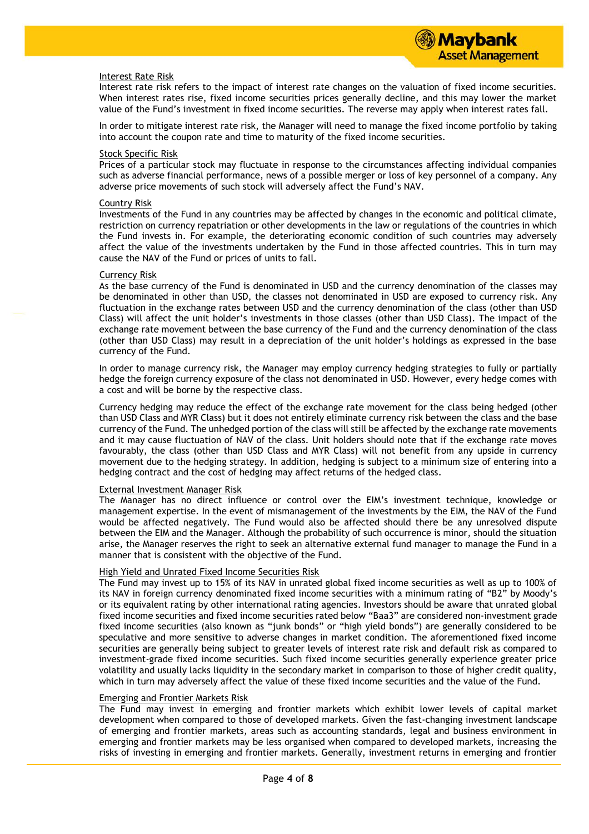#### Interest Rate Risk

Interest rate risk refers to the impact of interest rate changes on the valuation of fixed income securities. When interest rates rise, fixed income securities prices generally decline, and this may lower the market value of the Fund's investment in fixed income securities. The reverse may apply when interest rates fall.

In order to mitigate interest rate risk, the Manager will need to manage the fixed income portfolio by taking into account the coupon rate and time to maturity of the fixed income securities.

#### Stock Specific Risk

Prices of a particular stock may fluctuate in response to the circumstances affecting individual companies such as adverse financial performance, news of a possible merger or loss of key personnel of a company. Any adverse price movements of such stock will adversely affect the Fund's NAV.

#### Country Risk

Investments of the Fund in any countries may be affected by changes in the economic and political climate, restriction on currency repatriation or other developments in the law or regulations of the countries in which the Fund invests in. For example, the deteriorating economic condition of such countries may adversely affect the value of the investments undertaken by the Fund in those affected countries. This in turn may cause the NAV of the Fund or prices of units to fall.

#### Currency Risk

As the base currency of the Fund is denominated in USD and the currency denomination of the classes may be denominated in other than USD, the classes not denominated in USD are exposed to currency risk. Any fluctuation in the exchange rates between USD and the currency denomination of the class (other than USD Class) will affect the unit holder's investments in those classes (other than USD Class). The impact of the exchange rate movement between the base currency of the Fund and the currency denomination of the class (other than USD Class) may result in a depreciation of the unit holder's holdings as expressed in the base currency of the Fund.

In order to manage currency risk, the Manager may employ currency hedging strategies to fully or partially hedge the foreign currency exposure of the class not denominated in USD. However, every hedge comes with a cost and will be borne by the respective class.

Currency hedging may reduce the effect of the exchange rate movement for the class being hedged (other than USD Class and MYR Class) but it does not entirely eliminate currency risk between the class and the base currency of the Fund. The unhedged portion of the class will still be affected by the exchange rate movements and it may cause fluctuation of NAV of the class. Unit holders should note that if the exchange rate moves favourably, the class (other than USD Class and MYR Class) will not benefit from any upside in currency movement due to the hedging strategy. In addition, hedging is subject to a minimum size of entering into a hedging contract and the cost of hedging may affect returns of the hedged class.

#### External Investment Manager Risk

The Manager has no direct influence or control over the EIM's investment technique, knowledge or management expertise. In the event of mismanagement of the investments by the EIM, the NAV of the Fund would be affected negatively. The Fund would also be affected should there be any unresolved dispute between the EIM and the Manager. Although the probability of such occurrence is minor, should the situation arise, the Manager reserves the right to seek an alternative external fund manager to manage the Fund in a manner that is consistent with the objective of the Fund.

# High Yield and Unrated Fixed Income Securities Risk

The Fund may invest up to 15% of its NAV in unrated global fixed income securities as well as up to 100% of its NAV in foreign currency denominated fixed income securities with a minimum rating of "B2" by Moody's or its equivalent rating by other international rating agencies. Investors should be aware that unrated global fixed income securities and fixed income securities rated below "Baa3" are considered non-investment grade fixed income securities (also known as "junk bonds" or "high yield bonds") are generally considered to be speculative and more sensitive to adverse changes in market condition. The aforementioned fixed income securities are generally being subject to greater levels of interest rate risk and default risk as compared to investment-grade fixed income securities. Such fixed income securities generally experience greater price volatility and usually lacks liquidity in the secondary market in comparison to those of higher credit quality, which in turn may adversely affect the value of these fixed income securities and the value of the Fund.

# Emerging and Frontier Markets Risk

The Fund may invest in emerging and frontier markets which exhibit lower levels of capital market development when compared to those of developed markets. Given the fast-changing investment landscape of emerging and frontier markets, areas such as accounting standards, legal and business environment in emerging and frontier markets may be less organised when compared to developed markets, increasing the risks of investing in emerging and frontier markets. Generally, investment returns in emerging and frontier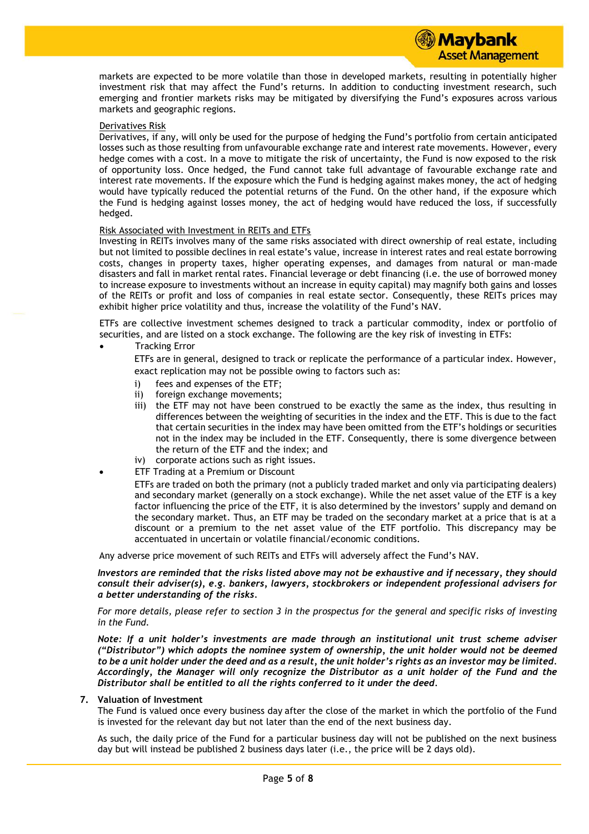markets are expected to be more volatile than those in developed markets, resulting in potentially higher investment risk that may affect the Fund's returns. In addition to conducting investment research, such emerging and frontier markets risks may be mitigated by diversifying the Fund's exposures across various markets and geographic regions.

# Derivatives Risk

Derivatives, if any, will only be used for the purpose of hedging the Fund's portfolio from certain anticipated losses such as those resulting from unfavourable exchange rate and interest rate movements. However, every hedge comes with a cost. In a move to mitigate the risk of uncertainty, the Fund is now exposed to the risk of opportunity loss. Once hedged, the Fund cannot take full advantage of favourable exchange rate and interest rate movements. If the exposure which the Fund is hedging against makes money, the act of hedging would have typically reduced the potential returns of the Fund. On the other hand, if the exposure which the Fund is hedging against losses money, the act of hedging would have reduced the loss, if successfully hedged.

#### Risk Associated with Investment in REITs and ETFs

Investing in REITs involves many of the same risks associated with direct ownership of real estate, including but not limited to possible declines in real estate's value, increase in interest rates and real estate borrowing costs, changes in property taxes, higher operating expenses, and damages from natural or man-made disasters and fall in market rental rates. Financial leverage or debt financing (i.e. the use of borrowed money to increase exposure to investments without an increase in equity capital) may magnify both gains and losses of the REITs or profit and loss of companies in real estate sector. Consequently, these REITs prices may exhibit higher price volatility and thus, increase the volatility of the Fund's NAV.

ETFs are collective investment schemes designed to track a particular commodity, index or portfolio of securities, and are listed on a stock exchange. The following are the key risk of investing in ETFs:

Tracking Error

ETFs are in general, designed to track or replicate the performance of a particular index. However, exact replication may not be possible owing to factors such as:

- i) fees and expenses of the ETF;
- ii) foreign exchange movements;
- iii) the ETF may not have been construed to be exactly the same as the index, thus resulting in differences between the weighting of securities in the index and the ETF. This is due to the fact that certain securities in the index may have been omitted from the ETF's holdings or securities not in the index may be included in the ETF. Consequently, there is some divergence between the return of the ETF and the index; and
- iv) corporate actions such as right issues.
- ETF Trading at a Premium or Discount

ETFs are traded on both the primary (not a publicly traded market and only via participating dealers) and secondary market (generally on a stock exchange). While the net asset value of the ETF is a key factor influencing the price of the ETF, it is also determined by the investors' supply and demand on the secondary market. Thus, an ETF may be traded on the secondary market at a price that is at a discount or a premium to the net asset value of the ETF portfolio. This discrepancy may be accentuated in uncertain or volatile financial/economic conditions.

Any adverse price movement of such REITs and ETFs will adversely affect the Fund's NAV.

*Investors are reminded that the risks listed above may not be exhaustive and if necessary, they should consult their adviser(s), e.g. bankers, lawyers, stockbrokers or independent professional advisers for a better understanding of the risks.*

*For more details, please refer to section 3 in the prospectus for the general and specific risks of investing in the Fund.*

*Note: If a unit holder's investments are made through an institutional unit trust scheme adviser ("Distributor") which adopts the nominee system of ownership, the unit holder would not be deemed to be a unit holder under the deed and as a result, the unit holder's rights as an investor may be limited. Accordingly, the Manager will only recognize the Distributor as a unit holder of the Fund and the Distributor shall be entitled to all the rights conferred to it under the deed.*

#### **7. Valuation of Investment**

The Fund is valued once every business day after the close of the market in which the portfolio of the Fund is invested for the relevant day but not later than the end of the next business day.

As such, the daily price of the Fund for a particular business day will not be published on the next business day but will instead be published 2 business days later (i.e., the price will be 2 days old).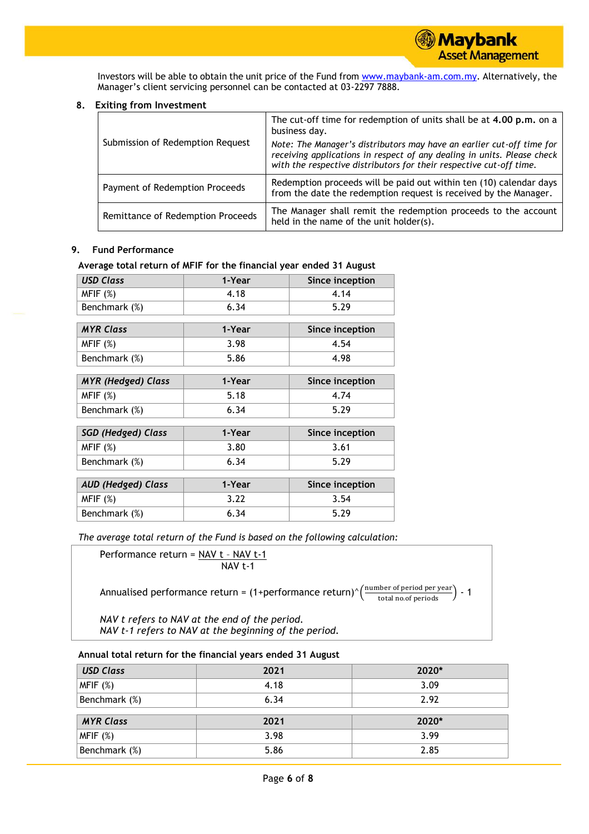Investors will be able to obtain the unit price of the Fund from [www.maybank-am.com.](http://www.maybank-am.com/)my. Alternatively, the Manager's client servicing personnel can be contacted at 03-2297 7888.

# **8. Exiting from Investment**

|                                   | The cut-off time for redemption of units shall be at 4.00 p.m. on a<br>business day.                                                                                                                                    |
|-----------------------------------|-------------------------------------------------------------------------------------------------------------------------------------------------------------------------------------------------------------------------|
| Submission of Redemption Request  | Note: The Manager's distributors may have an earlier cut-off time for<br>receiving applications in respect of any dealing in units. Please check<br>with the respective distributors for their respective cut-off time. |
| Payment of Redemption Proceeds    | Redemption proceeds will be paid out within ten (10) calendar days<br>from the date the redemption request is received by the Manager.                                                                                  |
| Remittance of Redemption Proceeds | The Manager shall remit the redemption proceeds to the account<br>held in the name of the unit holder(s).                                                                                                               |

# **9. Fund Performance**

# **Average total return of MFIF for the financial year ended 31 August**

| <b>USD Class</b>          | 1-Year | Since inception |
|---------------------------|--------|-----------------|
| MFIF(%)                   | 4.18   | 4.14            |
| Benchmark (%)             | 6.34   | 5.29            |
|                           |        |                 |
| <b>MYR Class</b>          | 1-Year | Since inception |
| MFIF(%)                   | 3.98   | 4.54            |
| Benchmark (%)             | 5.86   | 4.98            |
|                           |        |                 |
| <b>MYR</b> (Hedged) Class | 1-Year | Since inception |
| MFIF(%)                   | 5.18   | 4.74            |
| Benchmark (%)             | 6.34   | 5.29            |
|                           |        |                 |
| <b>SGD (Hedged) Class</b> | 1-Year | Since inception |
| MFIF(%)                   | 3.80   | 3.61            |
| Benchmark (%)             | 6.34   | 5.29            |
|                           |        |                 |
| <b>AUD (Hedged) Class</b> | 1-Year | Since inception |
| MFIF(%)                   | 3.22   | 3.54            |
| Benchmark (%)             | 6.34   | 5.29            |

*The average total return of the Fund is based on the following calculation:*

Performance return = 
$$
\frac{NAV t - NAV t - 1}{NAV t - 1}
$$

Annualised performance return = (1+performance return)^ $\left(\frac{\text{number of period per year}}{\text{total no. of periods}}\right)$  - 1

*NAV t refers to NAV at the end of the period. NAV t-1 refers to NAV at the beginning of the period.*

# **Annual total return for the financial years ended 31 August**

| <b>USD Class</b> | 2021 | 2020* |
|------------------|------|-------|
| MFIF(%)          | 4.18 | 3.09  |
| Benchmark (%)    | 6.34 | 2.92  |
| <b>MYR Class</b> | 2021 | 2020* |
| MFIF(%)          | 3.98 | 3.99  |
| Benchmark (%)    | 5.86 | 2.85  |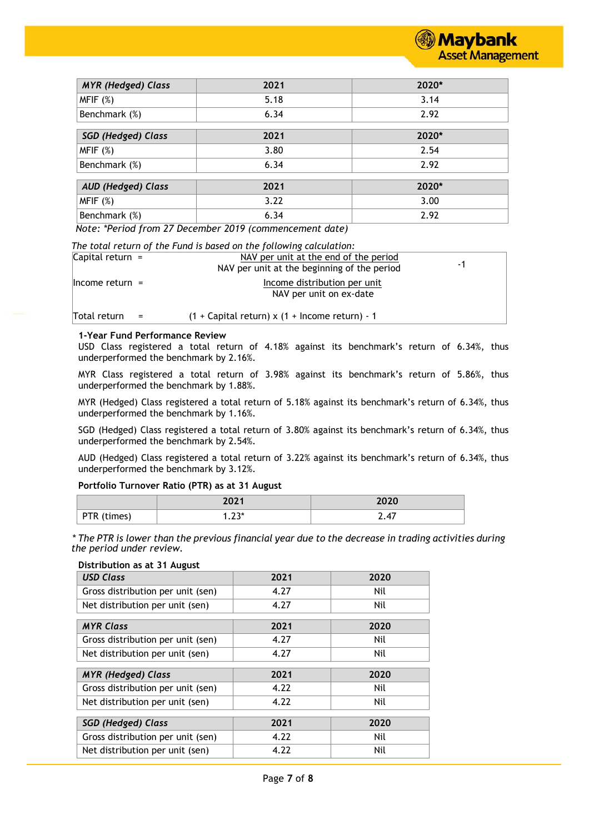

| <b>MYR</b> (Hedged) Class | 2021 | 2020*   |
|---------------------------|------|---------|
| MFIF(%)                   | 5.18 | 3.14    |
| Benchmark (%)             | 6.34 | 2.92    |
|                           |      |         |
| <b>SGD (Hedged) Class</b> | 2021 | $2020*$ |
| MFIF(%)                   | 3.80 | 2.54    |
| Benchmark (%)             | 6.34 | 2.92    |
|                           |      |         |
| <b>AUD (Hedged) Class</b> | 2021 | 2020*   |
| MFIF(%)                   | 3.22 | 3.00    |
| Benchmark (%)             | 6.34 | 2.92    |

*Note: \*Period from 27 December 2019 (commencement date)*

*The total return of the Fund is based on the following calculation:*

| Capital return $=$  | NAV per unit at the end of the period<br>NAV per unit at the beginning of the period | -1 |
|---------------------|--------------------------------------------------------------------------------------|----|
| $ $ Income return = | Income distribution per unit<br>NAV per unit on ex-date                              |    |
| Total return        | $(1 +$ Capital return) x $(1 +$ Income return) - 1                                   |    |

# **1-Year Fund Performance Review**

USD Class registered a total return of 4.18% against its benchmark's return of 6.34%, thus underperformed the benchmark by 2.16%.

MYR Class registered a total return of 3.98% against its benchmark's return of 5.86%, thus underperformed the benchmark by 1.88%.

MYR (Hedged) Class registered a total return of 5.18% against its benchmark's return of 6.34%, thus underperformed the benchmark by 1.16%.

SGD (Hedged) Class registered a total return of 3.80% against its benchmark's return of 6.34%, thus underperformed the benchmark by 2.54%.

AUD (Hedged) Class registered a total return of 3.22% against its benchmark's return of 6.34%, thus underperformed the benchmark by 3.12%.

#### **Portfolio Turnover Ratio (PTR) as at 31 August**

|             | วกว 1         | 2020                                   |
|-------------|---------------|----------------------------------------|
| PTR (times) | つつ*<br>د ۲۰ ا | $\overline{ }$<br>$\sim \cdot$ $\cdot$ |

*\* The PTR is lower than the previous financial year due to the decrease in trading activities during the period under review.*

#### **Distribution as at 31 August**

| <b>USD Class</b>                  | 2021 | 2020 |
|-----------------------------------|------|------|
| Gross distribution per unit (sen) | 4.27 | Nil  |
| Net distribution per unit (sen)   | 4.27 | Nil  |
| <b>MYR Class</b>                  | 2021 | 2020 |
| Gross distribution per unit (sen) | 4.27 | Nil  |
| Net distribution per unit (sen)   | 4.27 | Nil  |
| <b>MYR</b> (Hedged) Class         | 2021 | 2020 |
| Gross distribution per unit (sen) | 4.22 | Nil  |
| Net distribution per unit (sen)   | 4.22 | Nil  |
| <b>SGD (Hedged) Class</b>         | 2021 | 2020 |
| Gross distribution per unit (sen) | 4.22 | Nil  |
| Net distribution per unit (sen)   | 4.22 | Nil  |